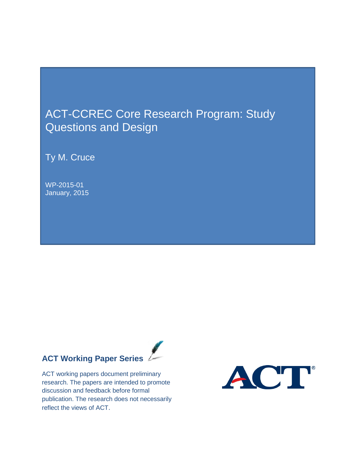## ACT-CCREC Core Research Program: Study Questions and Design

Ty M. Cruce

WP-2015-01 January, 2015

# **ACT Working Paper Series**

ACT working papers document preliminary research. The papers are intended to promote discussion and feedback before formal publication. The research does not necessarily reflect the views of ACT.

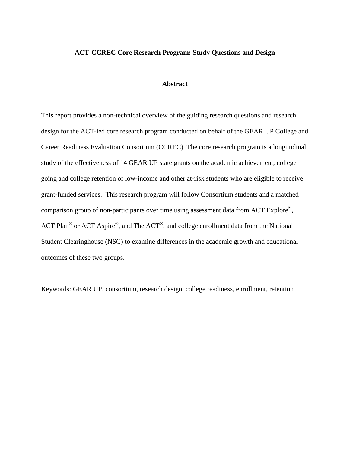#### **ACT-CCREC Core Research Program: Study Questions and Design**

#### **Abstract**

This report provides a non-technical overview of the guiding research questions and research design for the ACT-led core research program conducted on behalf of the GEAR UP College and Career Readiness Evaluation Consortium (CCREC). The core research program is a longitudinal study of the effectiveness of 14 GEAR UP state grants on the academic achievement, college going and college retention of low-income and other at-risk students who are eligible to receive grant-funded services. This research program will follow Consortium students and a matched comparison group of non-participants over time using assessment data from ACT Explore®, ACT Plan® or ACT Aspire®, and The ACT®, and college enrollment data from the National Student Clearinghouse (NSC) to examine differences in the academic growth and educational outcomes of these two groups.

Keywords: GEAR UP, consortium, research design, college readiness, enrollment, retention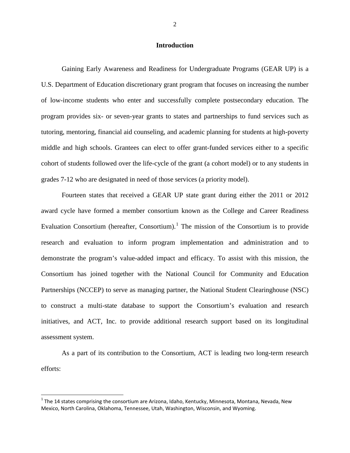#### **Introduction**

Gaining Early Awareness and Readiness for Undergraduate Programs (GEAR UP) is a U.S. Department of Education discretionary grant program that focuses on increasing the number of low-income students who enter and successfully complete postsecondary education. The program provides six- or seven-year grants to states and partnerships to fund services such as tutoring, mentoring, financial aid counseling, and academic planning for students at high-poverty middle and high schools. Grantees can elect to offer grant-funded services either to a specific cohort of students followed over the life-cycle of the grant (a cohort model) or to any students in grades 7-12 who are designated in need of those services (a priority model).

Fourteen states that received a GEAR UP state grant during either the 2011 or 2012 award cycle have formed a member consortium known as the College and Career Readiness Evaluation Consortium (hereafter, Consortium).<sup>[1](#page-2-0)</sup> The mission of the Consortium is to provide research and evaluation to inform program implementation and administration and to demonstrate the program's value-added impact and efficacy. To assist with this mission, the Consortium has joined together with the National Council for Community and Education Partnerships (NCCEP) to serve as managing partner, the National Student Clearinghouse (NSC) to construct a multi-state database to support the Consortium's evaluation and research initiatives, and ACT, Inc. to provide additional research support based on its longitudinal assessment system.

As a part of its contribution to the Consortium, ACT is leading two long-term research efforts:

<span id="page-2-0"></span> $1$  The 14 states comprising the consortium are Arizona, Idaho, Kentucky, Minnesota, Montana, Nevada, New Mexico, North Carolina, Oklahoma, Tennessee, Utah, Washington, Wisconsin, and Wyoming.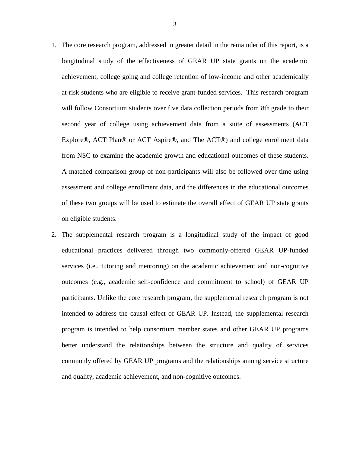- 1. The core research program, addressed in greater detail in the remainder of this report, is a longitudinal study of the effectiveness of GEAR UP state grants on the academic achievement, college going and college retention of low-income and other academically at-risk students who are eligible to receive grant-funded services. This research program will follow Consortium students over five data collection periods from 8th grade to their second year of college using achievement data from a suite of assessments (ACT Explore®, ACT Plan® or ACT Aspire®, and The ACT®) and college enrollment data from NSC to examine the academic growth and educational outcomes of these students. A matched comparison group of non-participants will also be followed over time using assessment and college enrollment data, and the differences in the educational outcomes of these two groups will be used to estimate the overall effect of GEAR UP state grants on eligible students.
- 2. The supplemental research program is a longitudinal study of the impact of good educational practices delivered through two commonly-offered GEAR UP-funded services (i.e., tutoring and mentoring) on the academic achievement and non-cognitive outcomes (e.g., academic self-confidence and commitment to school) of GEAR UP participants. Unlike the core research program, the supplemental research program is not intended to address the causal effect of GEAR UP. Instead, the supplemental research program is intended to help consortium member states and other GEAR UP programs better understand the relationships between the structure and quality of services commonly offered by GEAR UP programs and the relationships among service structure and quality, academic achievement, and non-cognitive outcomes.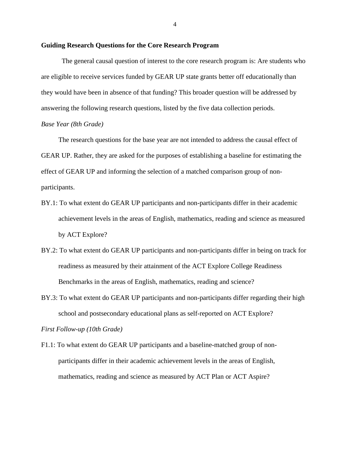#### **Guiding Research Questions for the Core Research Program**

The general causal question of interest to the core research program is: Are students who are eligible to receive services funded by GEAR UP state grants better off educationally than they would have been in absence of that funding? This broader question will be addressed by answering the following research questions, listed by the five data collection periods.

#### *Base Year (8th Grade)*

The research questions for the base year are not intended to address the causal effect of GEAR UP. Rather, they are asked for the purposes of establishing a baseline for estimating the effect of GEAR UP and informing the selection of a matched comparison group of nonparticipants.

- BY.1: To what extent do GEAR UP participants and non-participants differ in their academic achievement levels in the areas of English, mathematics, reading and science as measured by ACT Explore?
- BY.2: To what extent do GEAR UP participants and non-participants differ in being on track for readiness as measured by their attainment of the ACT Explore College Readiness Benchmarks in the areas of English, mathematics, reading and science?
- BY.3: To what extent do GEAR UP participants and non-participants differ regarding their high school and postsecondary educational plans as self-reported on ACT Explore?

*First Follow-up (10th Grade)*

F1.1: To what extent do GEAR UP participants and a baseline-matched group of nonparticipants differ in their academic achievement levels in the areas of English, mathematics, reading and science as measured by ACT Plan or ACT Aspire?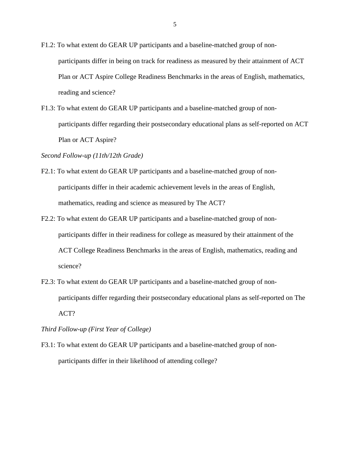- F1.2: To what extent do GEAR UP participants and a baseline-matched group of nonparticipants differ in being on track for readiness as measured by their attainment of ACT Plan or ACT Aspire College Readiness Benchmarks in the areas of English, mathematics, reading and science?
- F1.3: To what extent do GEAR UP participants and a baseline-matched group of nonparticipants differ regarding their postsecondary educational plans as self-reported on ACT Plan or ACT Aspire?

*Second Follow-up (11th/12th Grade)*

- F2.1: To what extent do GEAR UP participants and a baseline-matched group of nonparticipants differ in their academic achievement levels in the areas of English, mathematics, reading and science as measured by The ACT?
- F2.2: To what extent do GEAR UP participants and a baseline-matched group of nonparticipants differ in their readiness for college as measured by their attainment of the ACT College Readiness Benchmarks in the areas of English, mathematics, reading and science?
- F2.3: To what extent do GEAR UP participants and a baseline-matched group of nonparticipants differ regarding their postsecondary educational plans as self-reported on The ACT?

*Third Follow-up (First Year of College)*

F3.1: To what extent do GEAR UP participants and a baseline-matched group of nonparticipants differ in their likelihood of attending college?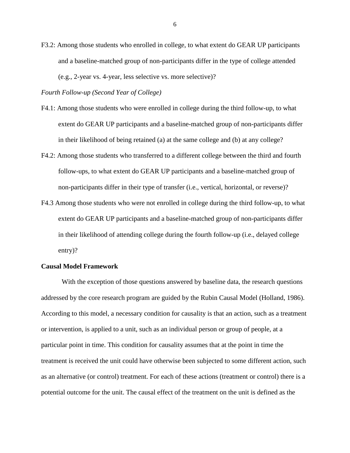F3.2: Among those students who enrolled in college, to what extent do GEAR UP participants and a baseline-matched group of non-participants differ in the type of college attended (e.g., 2-year vs. 4-year, less selective vs. more selective)?

*Fourth Follow-up (Second Year of College)*

- F4.1: Among those students who were enrolled in college during the third follow-up, to what extent do GEAR UP participants and a baseline-matched group of non-participants differ in their likelihood of being retained (a) at the same college and (b) at any college?
- F4.2: Among those students who transferred to a different college between the third and fourth follow-ups, to what extent do GEAR UP participants and a baseline-matched group of non-participants differ in their type of transfer (i.e., vertical, horizontal, or reverse)?
- F4.3 Among those students who were not enrolled in college during the third follow-up, to what extent do GEAR UP participants and a baseline-matched group of non-participants differ in their likelihood of attending college during the fourth follow-up (i.e., delayed college entry)?

#### **Causal Model Framework**

With the exception of those questions answered by baseline data, the research questions addressed by the core research program are guided by the Rubin Causal Model (Holland, 1986). According to this model, a necessary condition for causality is that an action, such as a treatment or intervention, is applied to a unit, such as an individual person or group of people, at a particular point in time. This condition for causality assumes that at the point in time the treatment is received the unit could have otherwise been subjected to some different action, such as an alternative (or control) treatment. For each of these actions (treatment or control) there is a potential outcome for the unit. The causal effect of the treatment on the unit is defined as the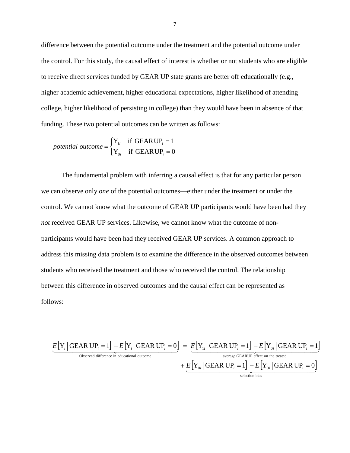difference between the potential outcome under the treatment and the potential outcome under the control. For this study, the causal effect of interest is whether or not students who are eligible to receive direct services funded by GEAR UP state grants are better off educationally (e.g., higher academic achievement, higher educational expectations, higher likelihood of attending college, higher likelihood of persisting in college) than they would have been in absence of that funding. These two potential outcomes can be written as follows:

potential outcome = 
$$
\begin{cases} Y_{1i} & \text{if GEARUP}_i = 1 \\ Y_{0i} & \text{if GEARUP}_i = 0 \end{cases}
$$

The fundamental problem with inferring a causal effect is that for any particular person we can observe only *one* of the potential outcomes—either under the treatment or under the control. We cannot know what the outcome of GEAR UP participants would have been had they *not* received GEAR UP services. Likewise, we cannot know what the outcome of nonparticipants would have been had they received GEAR UP services. A common approach to address this missing data problem is to examine the difference in the observed outcomes between students who received the treatment and those who received the control. The relationship between this difference in observed outcomes and the causal effect can be represented as follows:

$$
\underbrace{E[Y_i | \text{GEAR UP}_i = 1] - E[Y_i | \text{GEAR UP}_i = 0]}_{\text{Observed difference in educational outcome}} = \underbrace{E[Y_{1i} | \text{GEAR UP}_i = 1] - E[Y_{0i} | \text{GEAR UP}_i = 1]}_{\text{average GEARUP effect on the treated}} + \underbrace{E[Y_{0i} | \text{GEAR UP}_i = 1] - E[Y_{0i} | \text{GEAR UP}_i = 0]}_{\text{selection bias}}
$$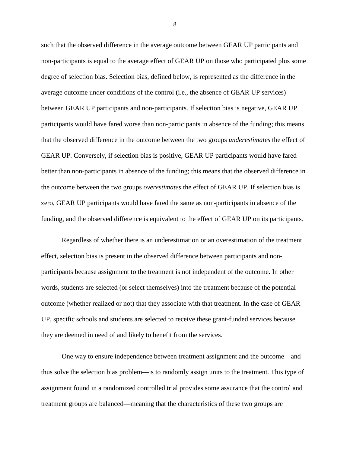such that the observed difference in the average outcome between GEAR UP participants and non-participants is equal to the average effect of GEAR UP on those who participated plus some degree of selection bias. Selection bias, defined below, is represented as the difference in the average outcome under conditions of the control (i.e., the absence of GEAR UP services) between GEAR UP participants and non-participants. If selection bias is negative, GEAR UP participants would have fared worse than non-participants in absence of the funding; this means that the observed difference in the outcome between the two groups *underestimates* the effect of GEAR UP. Conversely, if selection bias is positive, GEAR UP participants would have fared better than non-participants in absence of the funding; this means that the observed difference in the outcome between the two groups *overestimates* the effect of GEAR UP. If selection bias is zero, GEAR UP participants would have fared the same as non-participants in absence of the funding, and the observed difference is equivalent to the effect of GEAR UP on its participants.

Regardless of whether there is an underestimation or an overestimation of the treatment effect, selection bias is present in the observed difference between participants and nonparticipants because assignment to the treatment is not independent of the outcome. In other words, students are selected (or select themselves) into the treatment because of the potential outcome (whether realized or not) that they associate with that treatment. In the case of GEAR UP, specific schools and students are selected to receive these grant-funded services because they are deemed in need of and likely to benefit from the services.

One way to ensure independence between treatment assignment and the outcome—and thus solve the selection bias problem—is to randomly assign units to the treatment. This type of assignment found in a randomized controlled trial provides some assurance that the control and treatment groups are balanced—meaning that the characteristics of these two groups are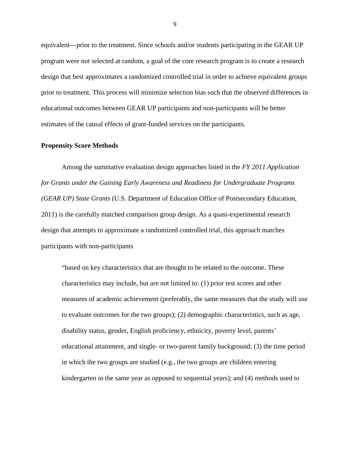equivalent—prior to the treatment. Since schools and/or students participating in the GEAR UP program were not selected at random, a goal of the core research program is to create a research design that best approximates a randomized controlled trial in order to achieve equivalent groups prior to treatment. This process will minimize selection bias such that the observed differences in educational outcomes between GEAR UP participants and non-participants will be better estimates of the causal effects of grant-funded services on the participants.

#### **Propensity Score Methods**

Among the summative evaluation design approaches listed in the *FY 2011 Application for Grants under the Gaining Early Awareness and Readiness for Undergraduate Programs (GEAR UP) State Grants* (U.S. Department of Education Office of Postsecondary Education, 2011) is the carefully matched comparison group design. As a quasi-experimental research design that attempts to approximate a randomized controlled trial, this approach matches participants with non-participants

"based on key characteristics that are thought to be related to the outcome. These characteristics may include, but are not limited to: (1) prior test scores and other measures of academic achievement (preferably, the same measures that the study will use to evaluate outcomes for the two groups); (2) demographic characteristics, such as age, disability status, gender, English proficiency, ethnicity, poverty level, parents' educational attainment, and single- or two-parent family background; (3) the time period in which the two groups are studied (e.g., the two groups are children entering kindergarten in the same year as opposed to sequential years); and (4) methods used to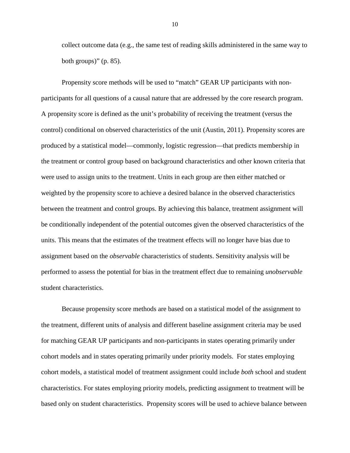collect outcome data (e.g., the same test of reading skills administered in the same way to both groups)"  $(p. 85)$ .

Propensity score methods will be used to "match" GEAR UP participants with nonparticipants for all questions of a causal nature that are addressed by the core research program. A propensity score is defined as the unit's probability of receiving the treatment (versus the control) conditional on observed characteristics of the unit (Austin, 2011). Propensity scores are produced by a statistical model—commonly, logistic regression—that predicts membership in the treatment or control group based on background characteristics and other known criteria that were used to assign units to the treatment. Units in each group are then either matched or weighted by the propensity score to achieve a desired balance in the observed characteristics between the treatment and control groups. By achieving this balance, treatment assignment will be conditionally independent of the potential outcomes given the observed characteristics of the units. This means that the estimates of the treatment effects will no longer have bias due to assignment based on the *observable* characteristics of students. Sensitivity analysis will be performed to assess the potential for bias in the treatment effect due to remaining *unobservable* student characteristics.

Because propensity score methods are based on a statistical model of the assignment to the treatment, different units of analysis and different baseline assignment criteria may be used for matching GEAR UP participants and non-participants in states operating primarily under cohort models and in states operating primarily under priority models. For states employing cohort models, a statistical model of treatment assignment could include *both* school and student characteristics. For states employing priority models, predicting assignment to treatment will be based only on student characteristics. Propensity scores will be used to achieve balance between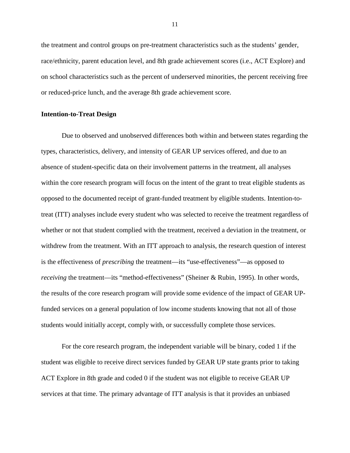the treatment and control groups on pre-treatment characteristics such as the students' gender, race/ethnicity, parent education level, and 8th grade achievement scores (i.e., ACT Explore) and on school characteristics such as the percent of underserved minorities, the percent receiving free or reduced-price lunch, and the average 8th grade achievement score.

#### **Intention-to-Treat Design**

Due to observed and unobserved differences both within and between states regarding the types, characteristics, delivery, and intensity of GEAR UP services offered, and due to an absence of student-specific data on their involvement patterns in the treatment, all analyses within the core research program will focus on the intent of the grant to treat eligible students as opposed to the documented receipt of grant-funded treatment by eligible students. Intention-totreat (ITT) analyses include every student who was selected to receive the treatment regardless of whether or not that student complied with the treatment, received a deviation in the treatment, or withdrew from the treatment. With an ITT approach to analysis, the research question of interest is the effectiveness of *prescribing* the treatment—its "use-effectiveness"—as opposed to *receiving* the treatment—its "method-effectiveness" (Sheiner & Rubin, 1995). In other words, the results of the core research program will provide some evidence of the impact of GEAR UPfunded services on a general population of low income students knowing that not all of those students would initially accept, comply with, or successfully complete those services.

For the core research program, the independent variable will be binary, coded 1 if the student was eligible to receive direct services funded by GEAR UP state grants prior to taking ACT Explore in 8th grade and coded 0 if the student was not eligible to receive GEAR UP services at that time. The primary advantage of ITT analysis is that it provides an unbiased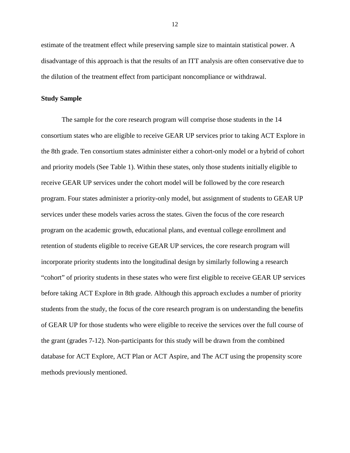estimate of the treatment effect while preserving sample size to maintain statistical power. A disadvantage of this approach is that the results of an ITT analysis are often conservative due to the dilution of the treatment effect from participant noncompliance or withdrawal.

#### **Study Sample**

The sample for the core research program will comprise those students in the 14 consortium states who are eligible to receive GEAR UP services prior to taking ACT Explore in the 8th grade. Ten consortium states administer either a cohort-only model or a hybrid of cohort and priority models (See Table 1). Within these states, only those students initially eligible to receive GEAR UP services under the cohort model will be followed by the core research program. Four states administer a priority-only model, but assignment of students to GEAR UP services under these models varies across the states. Given the focus of the core research program on the academic growth, educational plans, and eventual college enrollment and retention of students eligible to receive GEAR UP services, the core research program will incorporate priority students into the longitudinal design by similarly following a research "cohort" of priority students in these states who were first eligible to receive GEAR UP services before taking ACT Explore in 8th grade. Although this approach excludes a number of priority students from the study, the focus of the core research program is on understanding the benefits of GEAR UP for those students who were eligible to receive the services over the full course of the grant (grades 7-12). Non-participants for this study will be drawn from the combined database for ACT Explore, ACT Plan or ACT Aspire, and The ACT using the propensity score methods previously mentioned.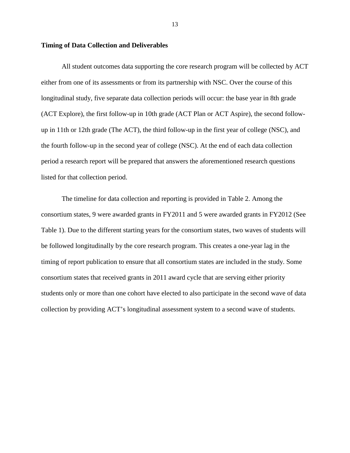#### **Timing of Data Collection and Deliverables**

All student outcomes data supporting the core research program will be collected by ACT either from one of its assessments or from its partnership with NSC. Over the course of this longitudinal study, five separate data collection periods will occur: the base year in 8th grade (ACT Explore), the first follow-up in 10th grade (ACT Plan or ACT Aspire), the second followup in 11th or 12th grade (The ACT), the third follow-up in the first year of college (NSC), and the fourth follow-up in the second year of college (NSC). At the end of each data collection period a research report will be prepared that answers the aforementioned research questions listed for that collection period.

The timeline for data collection and reporting is provided in Table 2. Among the consortium states, 9 were awarded grants in FY2011 and 5 were awarded grants in FY2012 (See Table 1). Due to the different starting years for the consortium states, two waves of students will be followed longitudinally by the core research program. This creates a one-year lag in the timing of report publication to ensure that all consortium states are included in the study. Some consortium states that received grants in 2011 award cycle that are serving either priority students only or more than one cohort have elected to also participate in the second wave of data collection by providing ACT's longitudinal assessment system to a second wave of students.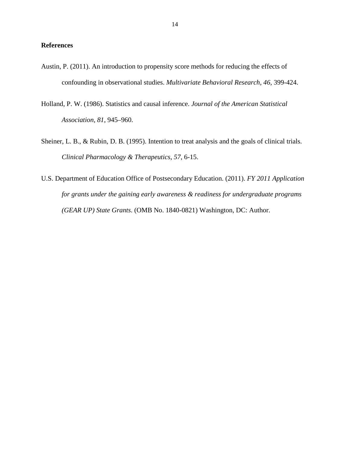#### **References**

- Austin, P. (2011). An introduction to propensity score methods for reducing the effects of confounding in observational studies. *Multivariate Behavioral Research, 46,* 399-424.
- Holland, P. W. (1986). Statistics and causal inference. *Journal of the American Statistical Association*, *81*, 945–960.
- Sheiner, L. B., & Rubin, D. B. (1995). Intention to treat analysis and the goals of clinical trials. *Clinical Pharmacology & Therapeutics*, *57*, 6-15.
- U.S. Department of Education Office of Postsecondary Education. (2011). *FY 2011 Application for grants under the gaining early awareness & readiness for undergraduate programs (GEAR UP) State Grants*. (OMB No. 1840-0821) Washington, DC: Author.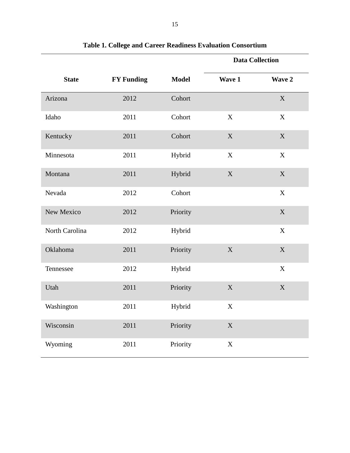|                |                   |              | <b>Data Collection</b> |                           |
|----------------|-------------------|--------------|------------------------|---------------------------|
| <b>State</b>   | <b>FY Funding</b> | <b>Model</b> | Wave 1                 | Wave 2                    |
| Arizona        | 2012              | Cohort       |                        | $\mathbf X$               |
| Idaho          | 2011              | Cohort       | X                      | $\mathbf X$               |
| Kentucky       | 2011              | Cohort       | $\mathbf X$            | $\mathbf X$               |
| Minnesota      | 2011              | Hybrid       | $\mathbf X$            | $\mathbf X$               |
| Montana        | 2011              | Hybrid       | $\mathbf X$            | $\mathbf X$               |
| Nevada         | 2012              | Cohort       |                        | $\mathbf X$               |
| New Mexico     | 2012              | Priority     |                        | $\mathbf X$               |
| North Carolina | 2012              | Hybrid       |                        | $\boldsymbol{\mathrm{X}}$ |
| Oklahoma       | 2011              | Priority     | $\mathbf X$            | $\mathbf X$               |
| Tennessee      | 2012              | Hybrid       |                        | $\mathbf X$               |
| Utah           | 2011              | Priority     | $\mathbf X$            | $\mathbf X$               |
| Washington     | 2011              | Hybrid       | X                      |                           |
| Wisconsin      | 2011              | Priority     | $\mathbf X$            |                           |
| Wyoming        | 2011              | Priority     | $\mathbf X$            |                           |

**Table 1. College and Career Readiness Evaluation Consortium**